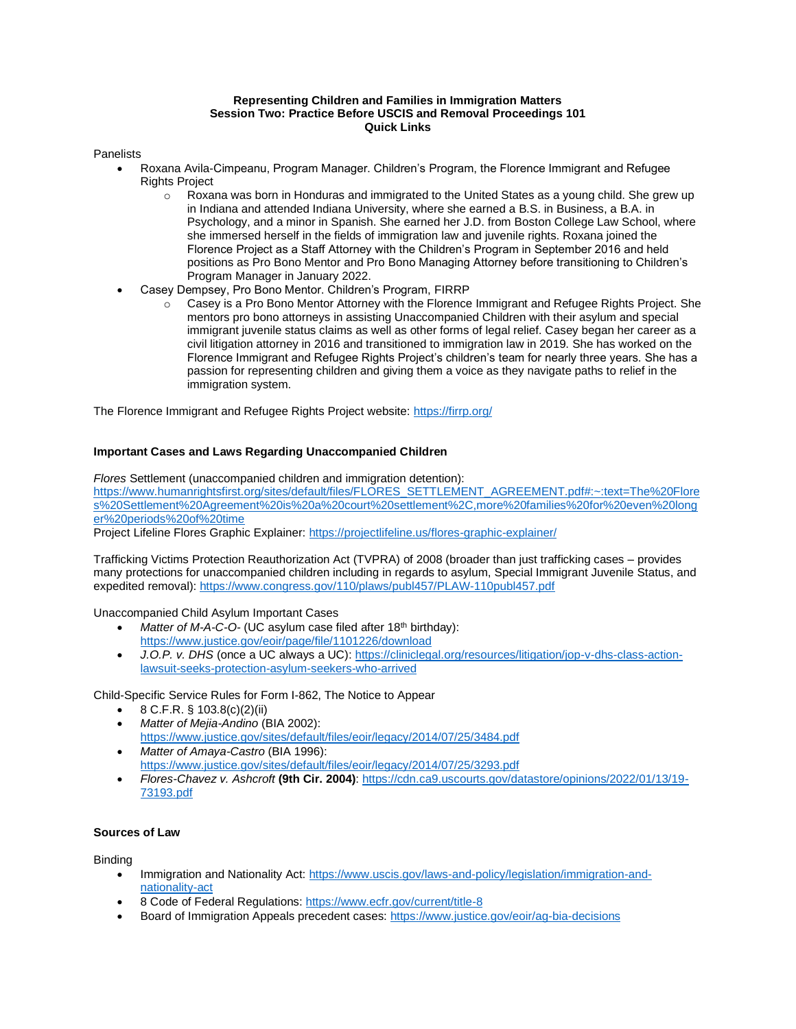## **Representing Children and Families in Immigration Matters Session Two: Practice Before USCIS and Removal Proceedings 101 Quick Links**

#### **Panelists**

- Roxana Avila-Cimpeanu, Program Manager. Children's Program, the Florence Immigrant and Refugee Rights Project
	- $\circ$  Roxana was born in Honduras and immigrated to the United States as a young child. She grew up in Indiana and attended Indiana University, where she earned a B.S. in Business, a B.A. in Psychology, and a minor in Spanish. She earned her J.D. from Boston College Law School, where she immersed herself in the fields of immigration law and juvenile rights. Roxana joined the Florence Project as a Staff Attorney with the Children's Program in September 2016 and held positions as Pro Bono Mentor and Pro Bono Managing Attorney before transitioning to Children's Program Manager in January 2022.
- Casey Dempsey, Pro Bono Mentor. Children's Program, FIRRP
	- o Casey is a Pro Bono Mentor Attorney with the Florence Immigrant and Refugee Rights Project. She mentors pro bono attorneys in assisting Unaccompanied Children with their asylum and special immigrant juvenile status claims as well as other forms of legal relief. Casey began her career as a civil litigation attorney in 2016 and transitioned to immigration law in 2019. She has worked on the Florence Immigrant and Refugee Rights Project's children's team for nearly three years. She has a passion for representing children and giving them a voice as they navigate paths to relief in the immigration system.

The Florence Immigrant and Refugee Rights Project website:<https://firrp.org/>

### **Important Cases and Laws Regarding Unaccompanied Children**

*Flores* Settlement (unaccompanied children and immigration detention): [https://www.humanrightsfirst.org/sites/default/files/FLORES\\_SETTLEMENT\\_AGREEMENT.pdf#:~:text=The%20Flore](https://www.humanrightsfirst.org/sites/default/files/FLORES_SETTLEMENT_AGREEMENT.pdf#:~:text=The%20Flores%20Settlement%20Agreement%20is%20a%20court%20settlement%2C,more%20families%20for%20even%20longer%20periods%20of%20time) [s%20Settlement%20Agreement%20is%20a%20court%20settlement%2C,more%20families%20for%20even%20long](https://www.humanrightsfirst.org/sites/default/files/FLORES_SETTLEMENT_AGREEMENT.pdf#:~:text=The%20Flores%20Settlement%20Agreement%20is%20a%20court%20settlement%2C,more%20families%20for%20even%20longer%20periods%20of%20time) [er%20periods%20of%20time](https://www.humanrightsfirst.org/sites/default/files/FLORES_SETTLEMENT_AGREEMENT.pdf#:~:text=The%20Flores%20Settlement%20Agreement%20is%20a%20court%20settlement%2C,more%20families%20for%20even%20longer%20periods%20of%20time)

Project Lifeline Flores Graphic Explainer[: https://projectlifeline.us/flores-graphic-explainer/](https://projectlifeline.us/flores-graphic-explainer/)

Trafficking Victims Protection Reauthorization Act (TVPRA) of 2008 (broader than just trafficking cases – provides many protections for unaccompanied children including in regards to asylum, Special Immigrant Juvenile Status, and expedited removal): <https://www.congress.gov/110/plaws/publ457/PLAW-110publ457.pdf>

Unaccompanied Child Asylum Important Cases

- *Matter of M-A-C-O-* (UC asylum case filed after 18<sup>th</sup> birthday): <https://www.justice.gov/eoir/page/file/1101226/download>
- *J.O.P. v. DHS* (once a UC always a UC): [https://cliniclegal.org/resources/litigation/jop-v-dhs-class-action](https://cliniclegal.org/resources/litigation/jop-v-dhs-class-action-lawsuit-seeks-protection-asylum-seekers-who-arrived)[lawsuit-seeks-protection-asylum-seekers-who-arrived](https://cliniclegal.org/resources/litigation/jop-v-dhs-class-action-lawsuit-seeks-protection-asylum-seekers-who-arrived)

Child-Specific Service Rules for Form I-862, The Notice to Appear

- 8 C.F.R. § 103.8(c)(2)(ii)
- *Matter of Mejia-Andino* (BIA 2002): <https://www.justice.gov/sites/default/files/eoir/legacy/2014/07/25/3484.pdf>
- *Matter of Amaya-Castro* (BIA 1996): <https://www.justice.gov/sites/default/files/eoir/legacy/2014/07/25/3293.pdf>
- *Flores-Chavez v. Ashcroft* **(9th Cir. 2004)**[: https://cdn.ca9.uscourts.gov/datastore/opinions/2022/01/13/19-](https://cdn.ca9.uscourts.gov/datastore/opinions/2022/01/13/19-73193.pdf) [73193.pdf](https://cdn.ca9.uscourts.gov/datastore/opinions/2022/01/13/19-73193.pdf)

### **Sources of Law**

Binding

- Immigration and Nationality Act[: https://www.uscis.gov/laws-and-policy/legislation/immigration-and](https://www.uscis.gov/laws-and-policy/legislation/immigration-and-nationality-act)[nationality-act](https://www.uscis.gov/laws-and-policy/legislation/immigration-and-nationality-act)
- 8 Code of Federal Regulations:<https://www.ecfr.gov/current/title-8>
- Board of Immigration Appeals precedent cases:<https://www.justice.gov/eoir/ag-bia-decisions>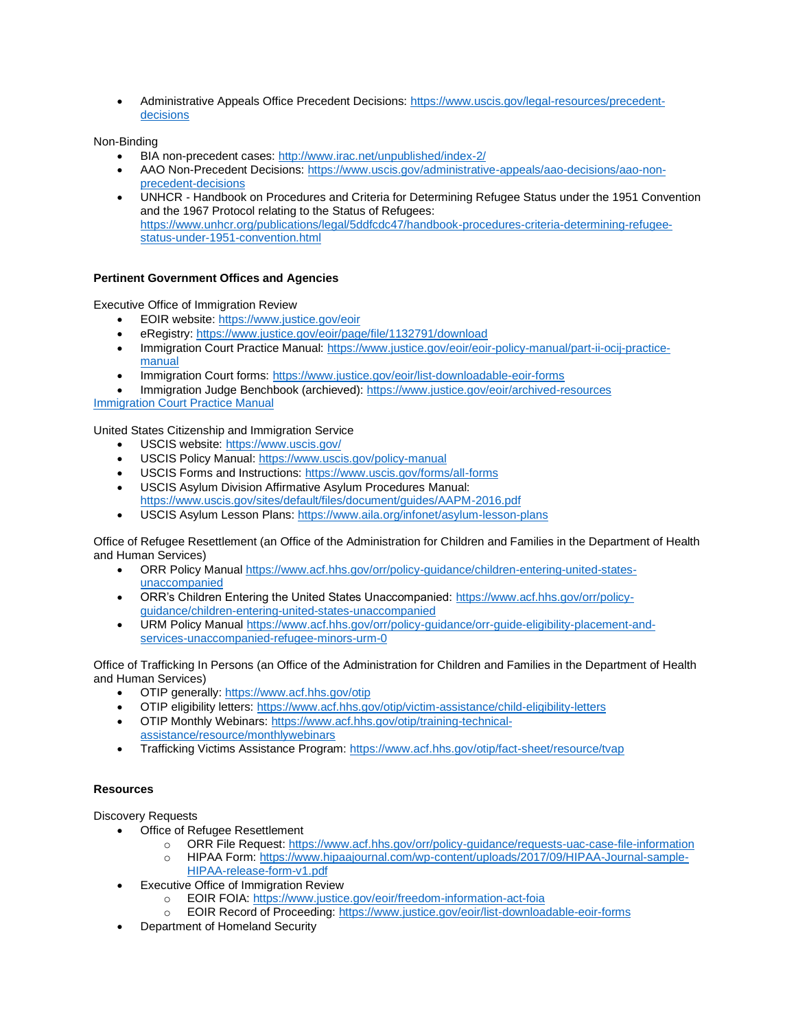• Administrative Appeals Office Precedent Decisions[: https://www.uscis.gov/legal-resources/precedent](https://www.uscis.gov/legal-resources/precedent-decisions)[decisions](https://www.uscis.gov/legal-resources/precedent-decisions)

Non-Binding

- BIA non-precedent cases:<http://www.irac.net/unpublished/index-2/>
- AAO Non-Precedent Decisions[: https://www.uscis.gov/administrative-appeals/aao-decisions/aao-non](https://www.uscis.gov/administrative-appeals/aao-decisions/aao-non-precedent-decisions)[precedent-decisions](https://www.uscis.gov/administrative-appeals/aao-decisions/aao-non-precedent-decisions)
- UNHCR Handbook on Procedures and Criteria for Determining Refugee Status under the 1951 Convention and the 1967 Protocol relating to the Status of Refugees: [https://www.unhcr.org/publications/legal/5ddfcdc47/handbook-procedures-criteria-determining-refugee](https://www.unhcr.org/publications/legal/5ddfcdc47/handbook-procedures-criteria-determining-refugee-status-under-1951-convention.html)[status-under-1951-convention.html](https://www.unhcr.org/publications/legal/5ddfcdc47/handbook-procedures-criteria-determining-refugee-status-under-1951-convention.html)

# **Pertinent Government Offices and Agencies**

Executive Office of Immigration Review

- EOIR website:<https://www.justice.gov/eoir>
- eRegistry:<https://www.justice.gov/eoir/page/file/1132791/download>
- Immigration Court Practice Manual[: https://www.justice.gov/eoir/eoir-policy-manual/part-ii-ocij-practice](https://www.justice.gov/eoir/eoir-policy-manual/part-ii-ocij-practice-manual)[manual](https://www.justice.gov/eoir/eoir-policy-manual/part-ii-ocij-practice-manual)
- Immigration Court forms[: https://www.justice.gov/eoir/list-downloadable-eoir-forms](https://www.justice.gov/eoir/list-downloadable-eoir-forms)
- Immigration Judge Benchbook (archieved):<https://www.justice.gov/eoir/archived-resources>

[Immigration Court Practice Manual](https://www.justice.gov/eoir/page/file/1258536/download)

United States Citizenship and Immigration Service

- USCIS website[: https://www.uscis.gov/](https://www.uscis.gov/)
- USCIS Policy Manual:<https://www.uscis.gov/policy-manual>
- USCIS Forms and Instructions[: https://www.uscis.gov/forms/all-forms](https://www.uscis.gov/forms/all-forms)
- USCIS Asylum Division Affirmative Asylum Procedures Manual: <https://www.uscis.gov/sites/default/files/document/guides/AAPM-2016.pdf>
- USCIS Asylum Lesson Plans:<https://www.aila.org/infonet/asylum-lesson-plans>

Office of Refugee Resettlement (an Office of the Administration for Children and Families in the Department of Health and Human Services)

- ORR Policy Manual [https://www.acf.hhs.gov/orr/policy-guidance/children-entering-united-states](https://www.acf.hhs.gov/orr/policy-guidance/children-entering-united-states-unaccompanied)[unaccompanied](https://www.acf.hhs.gov/orr/policy-guidance/children-entering-united-states-unaccompanied)
- ORR's Children Entering the United States Unaccompanied: [https://www.acf.hhs.gov/orr/policy](https://www.acf.hhs.gov/orr/policy-guidance/children-entering-united-states-unaccompanied)[guidance/children-entering-united-states-unaccompanied](https://www.acf.hhs.gov/orr/policy-guidance/children-entering-united-states-unaccompanied)
- URM Policy Manua[l https://www.acf.hhs.gov/orr/policy-guidance/orr-guide-eligibility-placement-and](https://www.acf.hhs.gov/orr/policy-guidance/orr-guide-eligibility-placement-and-services-unaccompanied-refugee-minors-urm-0)[services-unaccompanied-refugee-minors-urm-0](https://www.acf.hhs.gov/orr/policy-guidance/orr-guide-eligibility-placement-and-services-unaccompanied-refugee-minors-urm-0)

Office of Trafficking In Persons (an Office of the Administration for Children and Families in the Department of Health and Human Services)

- OTIP generally:<https://www.acf.hhs.gov/otip>
- OTIP eligibility letters[: https://www.acf.hhs.gov/otip/victim-assistance/child-eligibility-letters](https://www.acf.hhs.gov/otip/victim-assistance/child-eligibility-letters)
- OTIP Monthly Webinars[: https://www.acf.hhs.gov/otip/training-technical](https://www.acf.hhs.gov/otip/training-technical-assistance/resource/monthlywebinars)[assistance/resource/monthlywebinars](https://www.acf.hhs.gov/otip/training-technical-assistance/resource/monthlywebinars)
- Trafficking Victims Assistance Program:<https://www.acf.hhs.gov/otip/fact-sheet/resource/tvap>

### **Resources**

Discovery Requests

- Office of Refugee Resettlement
	- o ORR File Request:<https://www.acf.hhs.gov/orr/policy-guidance/requests-uac-case-file-information>
	- o HIPAA Form[: https://www.hipaajournal.com/wp-content/uploads/2017/09/HIPAA-Journal-sample-](https://www.hipaajournal.com/wp-content/uploads/2017/09/HIPAA-Journal-sample-HIPAA-release-form-v1.pdf)[HIPAA-release-form-v1.pdf](https://www.hipaajournal.com/wp-content/uploads/2017/09/HIPAA-Journal-sample-HIPAA-release-form-v1.pdf)
- Executive Office of Immigration Review
	- o EOIR FOIA[: https://www.justice.gov/eoir/freedom-information-act-foia](https://www.justice.gov/eoir/freedom-information-act-foia)
	- o EOIR Record of Proceeding[: https://www.justice.gov/eoir/list-downloadable-eoir-forms](https://www.justice.gov/eoir/list-downloadable-eoir-forms)
- Department of Homeland Security